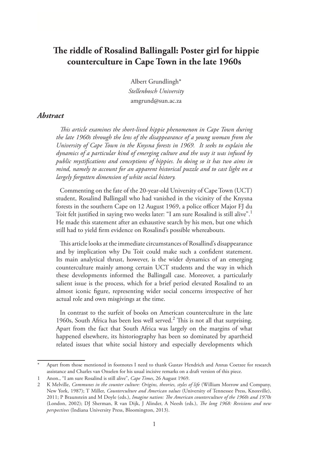# **The riddle of Rosalind Ballingall: Poster girl for hippie counterculture in Cape Town in the late 1960s**

Albert Grundlingh\* *Stellenbosch University* amgrund@sun.ac.za

#### *Abstract*

*This article examines the short-lived hippie phenomenon in Cape Town during the late 1960s through the lens of the disappearance of a young woman from the University of Cape Town in the Knysna forests in 1969. It seeks to explain the dynamics of a particular kind of emerging culture and the way it was infused by public mystifications and conceptions of hippies. In doing so it has two aims in mind, namely to account for an apparent historical puzzle and to cast light on a largely forgotten dimension of white social history.*

Commenting on the fate of the 20-year-old University of Cape Town (UCT) student, Rosalind Ballingall who had vanished in the vicinity of the Knysna forests in the southern Cape on 12 August 1969, a police officer Major FJ du Toit felt justified in saying two weeks later: "I am sure Rosalind is still alive".<sup>1</sup> He made this statement after an exhaustive search by his men, but one which still had to yield firm evidence on Rosalind's possible whereabouts.

This article looks at the immediate circumstances of Rosallind's disappearance and by implication why Du Toit could make such a confident statement. Its main analytical thrust, however, is the wider dynamics of an emerging counterculture mainly among certain UCT students and the way in which these developments informed the Ballingall case. Moreover, a particularly salient issue is the process, which for a brief period elevated Rosalind to an almost iconic figure, representing wider social concerns irrespective of her actual role and own misgivings at the time.

In contrast to the surfeit of books on American counterculture in the late 1960s, South Africa has been less well served.<sup>2</sup> This is not all that surprising. Apart from the fact that South Africa was largely on the margins of what happened elsewhere, its historiography has been so dominated by apartheid related issues that white social history and especially developments which

Apart from those mentioned in footnotes I need to thank Gustav Hendrich and Annas Coetzee for research assistance and Charles van Onselen for his usual incisive remarks on a draft version of this piece.

<sup>1</sup> Anon., "I am sure Rosalind is still alive", *Cape Times*, 26 August 1969.

<sup>2</sup> K Melville, *Communes in the counter culture: Origins, theories, styles of life* (William Morrow and Company, New York, 1987); T Miller, *Counterculture and American values* (University of Tennessee Press, Knoxville), 2011; P Braunstein and M Doyle (eds.), *Imagine nation: The American counterculture of the 1960s and 1970s* (London, 2002); DJ Sherman, R van Dijk, J Alinder, A Neesh (eds.), *The long 1968: Revisions and new perspectives* (Indiana University Press, Bloomington, 2013).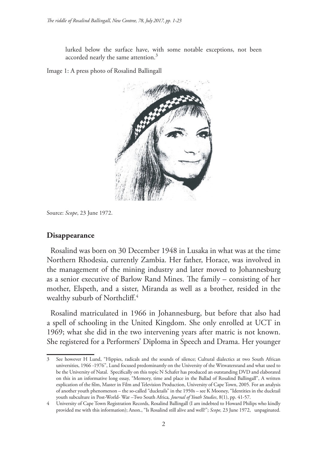lurked below the surface have, with some notable exceptions, not been accorded nearly the same attention. $3$ 

Image 1: A press photo of Rosalind Ballingall



Source: *Scope*, 23 June 1972.

### **Disappearance**

Rosalind was born on 30 December 1948 in Lusaka in what was at the time Northern Rhodesia, currently Zambia. Her father, Horace, was involved in the management of the mining industry and later moved to Johannesburg as a senior executive of Barlow Rand Mines. The family – consisting of her mother, Elspeth, and a sister, Miranda as well as a brother, resided in the wealthy suburb of Northcliff.<sup>4</sup>

Rosalind matriculated in 1966 in Johannesburg, but before that also had a spell of schooling in the United Kingdom. She only enrolled at UCT in 1969; what she did in the two intervening years after matric is not known. She registered for a Performers' Diploma in Speech and Drama. Her younger

See however H Lund, "Hippies, radicals and the sounds of silence; Cultural dialectics at two South African universities, 1966 -1976", Lund focused predominantly on the University of the Witwatersrand and what used to be the University of Natal. Specifically on this topic N Schafer has produced an outstanding DVD and elaborated on this in an informative long essay, "Memory, time and place in the Ballad of Rosalind Ballingall", A written explication of the film, Master in Film and Television Production, University of Cape Town, 2005. For an analysis of another youth phenomenon – the so-called "ducktails" in the 1950s – see K Mooney, "Identities in the ducktail youth subculture in Post-World- War –Two South Africa*, Journal of Youth Studies*, 8(1), pp. 41-57.

<sup>4</sup> University of Cape Town Registration Records, Rosalind Ballingall (I am indebted to Howard Philips who kindly provided me with this information); Anon., "Is Rosalind still alive and well?"; *Scope,* 23 June 1972, unpaginated.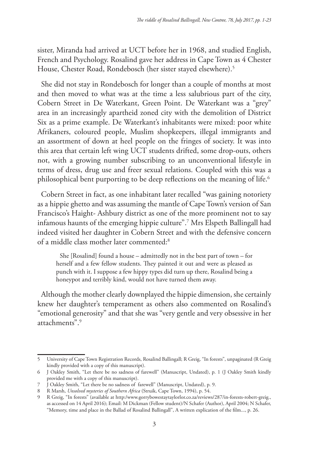sister, Miranda had arrived at UCT before her in 1968, and studied English, French and Psychology. Rosalind gave her address in Cape Town as 4 Chester House, Chester Road, Rondebosch (her sister stayed elsewhere).<sup>5</sup>

She did not stay in Rondebosch for longer than a couple of months at most and then moved to what was at the time a less salubrious part of the city, Cobern Street in De Waterkant, Green Point. De Waterkant was a "grey" area in an increasingly apartheid zoned city with the demolition of District Six as a prime example. De Waterkant's inhabitants were mixed: poor white Afrikaners, coloured people, Muslim shopkeepers, illegal immigrants and an assortment of down at heel people on the fringes of society. It was into this area that certain left wing UCT students drifted, some drop-outs, others not, with a growing number subscribing to an unconventional lifestyle in terms of dress, drug use and freer sexual relations. Coupled with this was a philosophical bent purporting to be deep reflections on the meaning of life.<sup>6</sup>

Cobern Street in fact, as one inhabitant later recalled "was gaining notoriety as a hippie ghetto and was assuming the mantle of Cape Town's version of San Francisco's Haight- Ashbury district as one of the more prominent not to say infamous haunts of the emerging hippie culture".7 Mrs Elspeth Ballingall had indeed visited her daughter in Cobern Street and with the defensive concern of a middle class mother later commented:8

She [Rosalind] found a house – admittedly not in the best part of town – for herself and a few fellow students. They painted it out and were as pleased as punch with it. I suppose a few hippy types did turn up there, Rosalind being a honeypot and terribly kind, would not have turned them away.

Although the mother clearly downplayed the hippie dimension, she certainly knew her daughter's temperament as others also commented on Rosalind's "emotional generosity" and that she was "very gentle and very obsessive in her attachments".9

<sup>5</sup> University of Cape Town Registration Records, Rosalind Ballingall; R Greig, "In forests", unpaginated (R Greig kindly provided with a copy of this manuscript).

<sup>6</sup> J Oakley Smith, "Let there be no sadness of farewell" (Manuscript, Undated), p. 1 (J Oakley Smith kindly provided me with a copy of this manuscript).

<sup>7</sup> J Oakley Smith, "Let there be no sadness of farewell" (Manuscript, Undated), p. 9.

<sup>8</sup> R Marsh, *Unsolved mysteries of Southern Africa* (Struik, Cape Town, 1994), p. 54.

<sup>9</sup> R Greig, "In forests" (available at http:/www.gorrybowestaytaylorlor.co.za/reviews/287/in-forests-robert-greig., as accessed on 14 April 2016); Email: M Dickman (Fellow student)/N Schafer (Author), April 2004; N Schafer, "Memory, time and place in the Ballad of Rosalind Ballingall", A written explication of the film..., p. 26.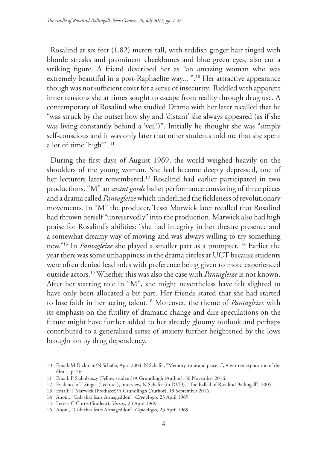Rosalind at six feet (1.82) meters tall, with reddish ginger hair tinged with blonde streaks and prominent cheekbones and blue green eyes, also cut a striking figure. A friend described her as "an amazing woman who was extremely beautiful in a post-Raphaelite way... ".<sup>10</sup> Her attractive appearance though was not sufficient cover for a sense of insecurity. Riddled with apparent inner tensions she at times sought to escape from reality through drug use. A contemporary of Rosalind who studied Drama with her later recalled that he "was struck by the outset how shy and 'distant' she always appeared (as if she was living constantly behind a 'veil')". Initially he thought she was "simply self-conscious and it was only later that other students told me that she spent a lot of time 'high'". 11

During the first days of August 1969, the world weighed heavily on the shoulders of the young woman. She had become deeply depressed, one of her lecturers later remembered.<sup>12</sup> Rosalind had earlier participated in two productions*,* "M" an *avant garde* ballet performance consisting of three pieces and a drama called *Pantagleize* which underlined the fickleness of revolutionary movements. In "M" the producer, Tessa Marwick later recalled that Rosalind had thrown herself "unreservedly" into the production. Marwick also had high praise for Rosalind's abilities: "she had integrity in her theatre presence and a somewhat dreamy way of moving and was always willing to try something new."13 In *Pantagleize* she played a smaller part as a prompter. 14 Earlier the year there was some unhappiness in the drama circles at UCT because students were often denied lead roles with preference being given to more experienced outside actors.15 Whether this was also the case with *Pantagleize* is not known. After her starring role in "M", she might nevertheless have felt slighted to have only been allocated a bit part. Her friends stated that she had started to lose faith in her acting talent.16 Moreover, the theme of *Pantagleize* with its emphasis on the futility of dramatic change and dire speculations on the future might have further added to her already gloomy outlook and perhaps contributed to a generalised sense of anxiety further heightened by the lows brought on by drug dependency.

<sup>10</sup> Email: M Dickman/N Schafer, April 2004, N Schafer, "Memory, time and place...", A written explication of the film..., p. 26.

<sup>11</sup> Email: P Slabolepszy (Fellow student)/A Grundlingh (Author), 30 November 2016.

<sup>12</sup> Evidence of J Singer (Lecturer), interview, N Schafer (in DVD), "The Ballad of Rosalind Ballingall", 2005.

<sup>13</sup> Email: T Marwick (Producer)/A Grundlingh (Author), 19 September 2016.

<sup>14</sup> Anon., "Cult that fears Armageddon", *Cape Argus,* 23 April 1969.

<sup>15</sup> Letter: C Curtis (Student), *Varsity*, 23 April 1969.

<sup>16</sup> Anon., "Cult that fears Armageddon", *Cape Argus,* 23 April 1969.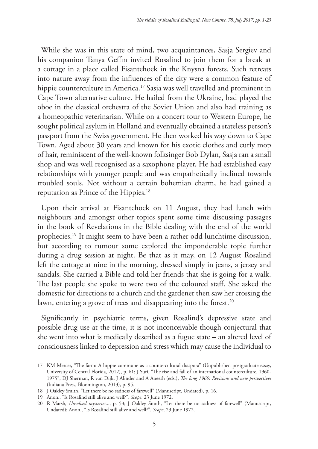While she was in this state of mind, two acquaintances, Sasja Sergiev and his companion Tanya Geffin invited Rosalind to join them for a break at a cottage in a place called Fisantehoek in the Knysna forests. Such retreats into nature away from the influences of the city were a common feature of hippie counterculture in America.<sup>17</sup> Sasja was well travelled and prominent in Cape Town alternative culture. He hailed from the Ukraine, had played the oboe in the classical orchestra of the Soviet Union and also had training as a homeopathic veterinarian. While on a concert tour to Western Europe, he sought political asylum in Holland and eventually obtained a stateless person's passport from the Swiss government. He then worked his way down to Cape Town. Aged about 30 years and known for his exotic clothes and curly mop of hair, reminiscent of the well-known folksinger Bob Dylan, Sasja ran a small shop and was well recognised as a saxophone player. He had established easy relationships with younger people and was empathetically inclined towards troubled souls. Not without a certain bohemian charm, he had gained a reputation as Prince of the Hippies.18

Upon their arrival at Fisantehoek on 11 August, they had lunch with neighbours and amongst other topics spent some time discussing passages in the book of Revelations in the Bible dealing with the end of the world prophecies.19 It might seem to have been a rather odd lunchtime discussion, but according to rumour some explored the imponderable topic further during a drug session at night. Be that as it may, on 12 August Rosalind left the cottage at nine in the morning, dressed simply in jeans, a jersey and sandals. She carried a Bible and told her friends that she is going for a walk. The last people she spoke to were two of the coloured staff. She asked the domestic for directions to a church and the gardener then saw her crossing the lawn, entering a grove of trees and disappearing into the forest.<sup>20</sup>

Significantly in psychiatric terms, given Rosalind's depressive state and possible drug use at the time, it is not inconceivable though conjectural that she went into what is medically described as a fugue state – an altered level of consciousness linked to depression and stress which may cause the individual to

<sup>17</sup> KM Mercer, "The farm: A hippie commune as a countercultural diaspora" (Unpublished postgraduate essay, University of Central Florida, 2012), p. 61; J Suri, "The rise and fall of an international counterculture, 1960- 1975", DJ Sherman, R van Dijk, J Alinder and A Aneesh (eds.), *The long 1969: Revisions and new perspectives* (Indiana Press, Bloomington, 2013), p. 95.

<sup>18</sup> J Oakley Smith, "Let there be no sadness of farewell" (Manuscript, Undated), p. 16.

<sup>19</sup> Anon., "Is Rosalind still alive and well?", *Scope,* 23 June 1972.

<sup>20</sup> R Marsh*, Unsolved mysteries*..., p. 53; J Oakley Smith, "Let there be no sadness of farewell" (Manuscript, Undated); Anon., "Is Rosalind still alive and well?", *Scope*, 23 June 1972.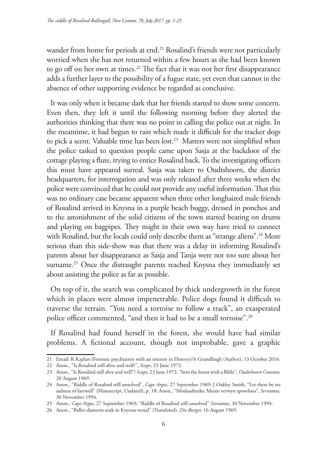wander from home for periods at end.<sup>21</sup> Rosalind's friends were not particularly worried when she has not returned within a few hours as she had been known to go off on her own at times.<sup>22</sup> The fact that it was not her first disappearance adds a further layer to the possibility of a fugue state, yet even that cannot in the absence of other supporting evidence be regarded as conclusive.

It was only when it became dark that her friends started to show some concern. Even then, they left it until the following morning before they alerted the authorities thinking that there was no point in calling the police out at night. In the meantime, it had begun to rain which made it difficult for the tracker dogs to pick a scent. Valuable time has been lost.<sup>23</sup> Matters were not simplified when the police tasked to question people came upon Sasja at the backdoor of the cottage playing a flute, trying to entice Rosalind back. To the investigating officers this must have appeared surreal. Sasja was taken to Oudtshoorn, the district headquarters, for interrogation and was only released after three weeks when the police were convinced that he could not provide any useful information. That this was no ordinary case became apparent when three other longhaired male friends of Rosalind arrived in Knysna in a purple beach buggy, dressed in ponchos and to the astonishment of the solid citizens of the town started beating on drums and playing on bagpipes. They might in their own way have tried to connect with Rosalind, but the locals could only describe them as "strange aliens".<sup>24</sup> More serious than this side-show was that there was a delay in informing Rosalind's parents about her disappearance as Sasja and Tanja were not too sure about her surname.<sup>25</sup> Once the distraught parents reached Knysna they immediately set about assisting the police as far as possible.

On top of it, the search was complicated by thick undergrowth in the forest which in places were almost impenetrable. Police dogs found it difficult to traverse the terrain. "You need a tortoise to follow a track", an exasperated police officer commented, "and then it had to be a small tortoise".<sup>26</sup>

If Rosalind had found herself in the forest, she would have had similar problems. A fictional account, though not improbable, gave a graphic

<sup>21</sup> Email: R Kaplan (Forensic psychiatrist with an interest in History)/A Grundlingh (Author), 13 October 2016.

<sup>22</sup> Anon., "Is Rosalind still alive and well?", *Scope*, 23 June 1972.

<sup>23</sup> Anon., "Is Rosalind still alive and well"? *Scope,* 23 June 1972; "Into the forest with a Bible", *Oudtshoorn Courant*, 20 August 1969.

<sup>24</sup> Anon., "Riddle of Rosalind still unsolved", *Cape Argus,* 27 September 1969; J Oakley Smith, "Let there be no sadness of farewell" (Manuscript, Undated), p. 18; Anon., "Misdaadreeks: Meisie verwyn spoorloos", *Servamus*, 30 November 1994.

<sup>25</sup> Anon., *Cape Argus*, 27 September 1969; "Riddle of Rosalind still unsolved" *Servamus*, 30 November 1994.

<sup>26</sup> Anon., "Ballet-danseres soek in Knysna-woud" (Translated), *Die Burger,* 16 August 1969.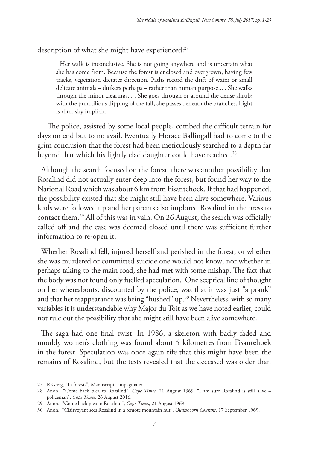description of what she might have experienced:<sup>27</sup>

Her walk is inconclusive. She is not going anywhere and is uncertain what she has come from. Because the forest is enclosed and overgrown, having few tracks, vegetation dictates direction. Paths record the drift of water or small delicate animals – duikers perhaps – rather than human purpose... . She walks through the minor clearings... . She goes through or around the dense shrub; with the punctilious dipping of the tall, she passes beneath the branches. Light is dim, sky implicit.

 The police, assisted by some local people, combed the difficult terrain for days on end but to no avail. Eventually Horace Ballingall had to come to the grim conclusion that the forest had been meticulously searched to a depth far beyond that which his lightly clad daughter could have reached.<sup>28</sup>

Although the search focused on the forest, there was another possibility that Rosalind did not actually enter deep into the forest, but found her way to the National Road which was about 6 km from Fisantehoek. If that had happened, the possibility existed that she might still have been alive somewhere. Various leads were followed up and her parents also implored Rosalind in the press to contact them.29 All of this was in vain. On 26 August, the search was officially called off and the case was deemed closed until there was sufficient further information to re-open it.

Whether Rosalind fell, injured herself and perished in the forest, or whether she was murdered or committed suicide one would not know; nor whether in perhaps taking to the main road, she had met with some mishap. The fact that the body was not found only fuelled speculation. One sceptical line of thought on her whereabouts, discounted by the police, was that it was just "a prank" and that her reappearance was being "hushed" up.<sup>30</sup> Nevertheless, with so many variables it is understandable why Major du Toit as we have noted earlier, could not rule out the possibility that she might still have been alive somewhere.

The saga had one final twist. In 1986, a skeleton with badly faded and mouldy women's clothing was found about 5 kilometres from Fisantehoek in the forest. Speculation was once again rife that this might have been the remains of Rosalind, but the tests revealed that the deceased was older than

<sup>27</sup> R Greig, "In forests", Manuscript, unpaginated.

<sup>28</sup> Anon., "Come back plea to Rosalind", *Cape Times*, 21 August 1969; "I am sure Rosalind is still alive – policeman", *Cape Times*, 26 August 2016.

<sup>29</sup> Anon., "Come back plea to Rosalind", *Cape Times*, 21 August 1969.

<sup>30</sup> Anon., "Clairvoyant sees Rosalind in a remote mountain hut", *Oudtshoorn Courant,* 17 September 1969.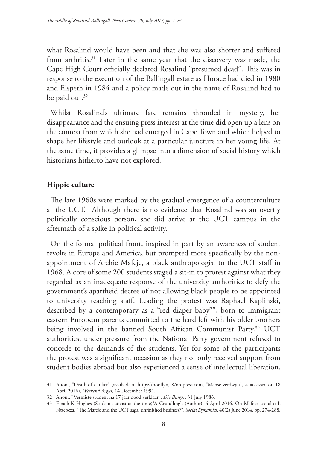what Rosalind would have been and that she was also shorter and suffered from arthritis.31 Later in the same year that the discovery was made, the Cape High Court officially declared Rosalind "presumed dead". This was in response to the execution of the Ballingall estate as Horace had died in 1980 and Elspeth in 1984 and a policy made out in the name of Rosalind had to be paid out.<sup>32</sup>

Whilst Rosalind's ultimate fate remains shrouded in mystery, her disappearance and the ensuing press interest at the time did open up a lens on the context from which she had emerged in Cape Town and which helped to shape her lifestyle and outlook at a particular juncture in her young life. At the same time, it provides a glimpse into a dimension of social history which historians hitherto have not explored.

## **Hippie culture**

The late 1960s were marked by the gradual emergence of a counterculture at the UCT. Although there is no evidence that Rosalind was an overtly politically conscious person, she did arrive at the UCT campus in the aftermath of a spike in political activity.

On the formal political front, inspired in part by an awareness of student revolts in Europe and America, but prompted more specifically by the nonappointment of Archie Mafeje, a black anthropologist to the UCT staff in 1968. A core of some 200 students staged a sit-in to protest against what they regarded as an inadequate response of the university authorities to defy the government's apartheid decree of not allowing black people to be appointed to university teaching staff. Leading the protest was Raphael Kaplinski, described by a contemporary as a "red diaper baby"", born to immigrant eastern European parents committed to the hard left with his older brothers being involved in the banned South African Communist Party.<sup>33</sup> UCT authorities, under pressure from the National Party government refused to concede to the demands of the students. Yet for some of the participants the protest was a significant occasion as they not only received support from student bodies abroad but also experienced a sense of intellectual liberation.

<sup>31</sup> Anon., "Death of a hiker" (available at https://hooflyn, Wordpress.com, "Mense verdwyn", as accessed on 18 April 2016), *Weekend Argus,* 14 December 1991.

<sup>32</sup> Anon., "Vermiste student na 17 jaar dood verklaar", *Die Burger*, 31 July 1986.

<sup>33</sup> Email: K Hughes (Student activist at the time)/A Grundlingh (Author), 6 April 2016. On Mafeje, see also L Ntsebeza, "The Mafeje and the UCT saga; unfinished business?", *Social Dynamics*, 40(2) June 2014, pp. 274-288.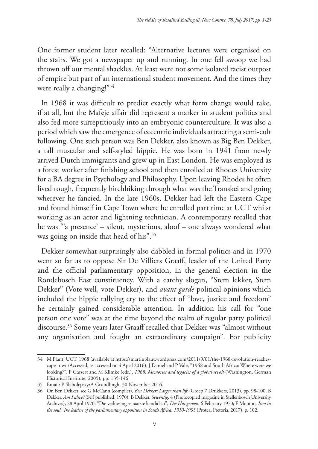One former student later recalled: "Alternative lectures were organised on the stairs. We got a newspaper up and running. In one fell swoop we had thrown off our mental shackles. At least were not some isolated racist outpost of empire but part of an international student movement. And the times they were really a changing!"34

In 1968 it was difficult to predict exactly what form change would take, if at all, but the Mafeje affair did represent a marker in student politics and also fed more surreptitiously into an embryonic counterculture. It was also a period which saw the emergence of eccentric individuals attracting a semi-cult following. One such person was Ben Dekker, also known as Big Ben Dekker, a tall muscular and self-styled hippie. He was born in 1941 from newly arrived Dutch immigrants and grew up in East London. He was employed as a forest worker after finishing school and then enrolled at Rhodes University for a BA degree in Psychology and Philosophy. Upon leaving Rhodes he often lived rough, frequently hitchhiking through what was the Transkei and going wherever he fancied. In the late 1960s, Dekker had left the Eastern Cape and found himself in Cape Town where he enrolled part time at UCT whilst working as an actor and lightning technician. A contemporary recalled that he was "'a presence' – silent, mysterious, aloof – one always wondered what was going on inside that head of his".35

Dekker somewhat surprisingly also dabbled in formal politics and in 1970 went so far as to oppose Sir De Villiers Graaff, leader of the United Party and the official parliamentary opposition, in the general election in the Rondebosch East constituency. With a catchy slogan, "Stem lekker, Stem Dekker" (Vote well, vote Dekker), and *avant garde* political opinions which included the hippie rallying cry to the effect of "love, justice and freedom" he certainly gained considerable attention. In addition his call for "one person one vote" was at the time beyond the realm of regular party political discourse.36 Some years later Graaff recalled that Dekker was "almost without any organisation and fought an extraordinary campaign". For publicity

<sup>34</sup> M Plant, UCT, 1968 (available at https://martinplaut.wordpress.com/2011/9/01/the-1968-revolution-reachescape-town/Accessed, as accessed on 4 April 2016); J Daniel and P Vale, "1968 and South Africa: Where were we looking?", P Gassert and M Klimke (eds.), *1968: Memories and legacies of a global revolt* (Washington, German Historical Institute, 2009), pp. 135-146.

<sup>35</sup> Email: P Slabolepszy/A Grundlingh, 30 November 2016.

<sup>36</sup> On Ben Dekker, see G McCann (compiler), *Ben Dekker: Larger than life* (Groep 7 Drukkers, 2013), pp. 98-100; B Dekker, *Am I alive?* (Self published, 1970); B Dekker, *Sewentig*, 4 (Photocopied magazine in Stellenbosch University Archives), 28 April 1970; "Die verkiesing se raarste kandidaat", *Die Huisgenoot*, 6 February 1970; F Mouton*, Iron in the soul. The leaders of the parliamentary opposition in South Africa, 1910-1993* (Protea, Pretoria, 2017), p. 102.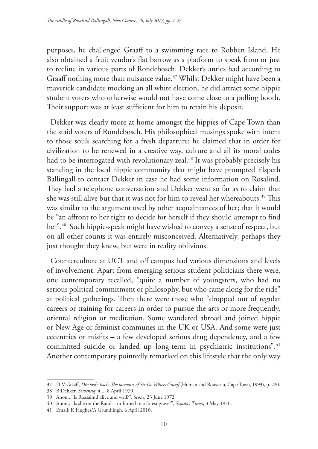purposes, he challenged Graaff to a swimming race to Robben Island. He also obtained a fruit vendor's flat barrow as a platform to speak from or just to recline in various parts of Rondebosch. Dekker's antics had according to Graaff nothing more than nuisance value.<sup>37</sup> Whilst Dekker might have been a maverick candidate mocking an all white election, he did attract some hippie student voters who otherwise would not have come close to a polling booth. Their support was at least sufficient for him to retain his deposit.

Dekker was clearly more at home amongst the hippies of Cape Town than the staid voters of Rondebosch. His philosophical musings spoke with intent to those souls searching for a fresh departure: he claimed that in order for civilization to be renewed in a creative way, culture and all its moral codes had to be interrogated with revolutionary zeal.<sup>38</sup> It was probably precisely his standing in the local hippie community that might have prompted Elspeth Ballingall to contact Dekker in case he had some information on Rosalind. They had a telephone conversation and Dekker went so far as to claim that she was still alive but that it was not for him to reveal her whereabouts.<sup>39</sup> This was similar to the argument used by other acquaintances of her; that it would be "an affront to her right to decide for herself if they should attempt to find her".<sup>40</sup> Such hippie-speak might have wished to convey a sense of respect, but on all other counts it was entirely misconceived. Alternatively, perhaps they just thought they knew, but were in reality oblivious.

Counterculture at UCT and off campus had various dimensions and levels of involvement. Apart from emerging serious student politicians there were, one contemporary recalled, "quite a number of youngsters, who had no serious political commitment or philosophy, but who came along for the ride" at political gatherings. Then there were those who "dropped out of regular careers or training for careers in order to pursue the arts or more frequently, oriental religion or meditation. Some wandered abroad and joined hippie or New Age or feminist communes in the UK or USA. And some were just eccentrics or misfits – a few developed serious drug dependency, and a few committed suicide or landed up long-term in psychiatric institutions".<sup>41</sup> Another contemporary pointedly remarked on this lifestyle that the only way

<sup>37</sup> D-V Graaff, *Div looks back: The memoirs of Sir De Villiers Graaff* (Human and Rousseau, Cape Town, 1993), p. 220.

<sup>38</sup> B Dekker, *Sewentig*, 4..., 8 April 1970.

<sup>39</sup> Anon., "Is Roasalind alive and well?", *Scope,* 23 June 1972.

<sup>40</sup> Anon., "Is she on the Rand - or buried in a forest grave?", *Sunday Times*, 3 May 1970.

<sup>41</sup> Email: K Hughes/A Grundlingh, 6 April 2016.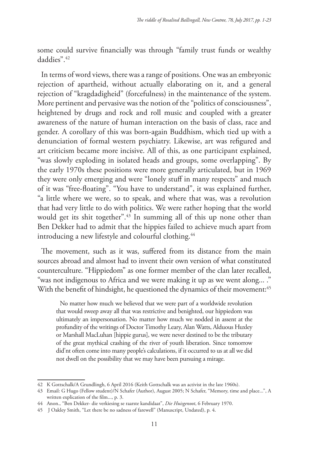some could survive financially was through "family trust funds or wealthy daddies".42

In terms of word views, there was a range of positions. One was an embryonic rejection of apartheid, without actually elaborating on it, and a general rejection of "kragdadigheid" (forcefulness) in the maintenance of the system. More pertinent and pervasive was the notion of the "politics of consciousness", heightened by drugs and rock and roll music and coupled with a greater awareness of the nature of human interaction on the basis of class, race and gender. A corollary of this was born-again Buddhism, which tied up with a denunciation of formal western psychiatry. Likewise, art was refigured and art criticism became more incisive. All of this, as one participant explained, "was slowly exploding in isolated heads and groups, some overlapping". By the early 1970s these positions were more generally articulated, but in 1969 they were only emerging and were "lonely stuff in many respects" and much of it was "free-floating". "You have to understand", it was explained further, "a little where we were, so to speak, and where that was, was a revolution that had very little to do with politics. We were rather hoping that the world would get its shit together".<sup>43</sup> In summing all of this up none other than Ben Dekker had to admit that the hippies failed to achieve much apart from introducing a new lifestyle and colourful clothing.<sup>44</sup>

The movement, such as it was, suffered from its distance from the main sources abroad and almost had to invent their own version of what constituted counterculture. "Hippiedom" as one former member of the clan later recalled, "was not indigenous to Africa and we were making it up as we went along... ." With the benefit of hindsight, he questioned the dynamics of their movement:<sup>45</sup>

No matter how much we believed that we were part of a worldwide revolution that would sweep away all that was restrictive and benighted, our hippiedom was ultimately an impersonation. No matter how much we nodded in assent at the profundity of the writings of Doctor Timothy Leary, Alan Watts, Alduous Huxley or Marshall MacLuhan [hippie gurus], we were never destined to be the tributary of the great mythical crashing of the river of youth liberation. Since tomorrow did'nt often come into many people's calculations, if it occurred to us at all we did not dwell on the possibility that we may have been pursuing a mirage.

<sup>42</sup> K Gottschalk/A Grundlingh, 6 April 2016 (Keith Gottschalk was an activist in the late 1960s).

<sup>43</sup> Email: G Hugo (Fellow student)/N Schafer (Author), August 2005; N Schafer, "Memory, time and place...", A written explication of the film..., p. 3.

<sup>44</sup> Anon., "Ben Dekker- die verkiesing se raarste kandidaat", *Die Huisgenoot*, 6 February 1970.

<sup>45</sup> J Oakley Smith, "Let there be no sadness of farewell" (Manuscript, Undated), p. 4.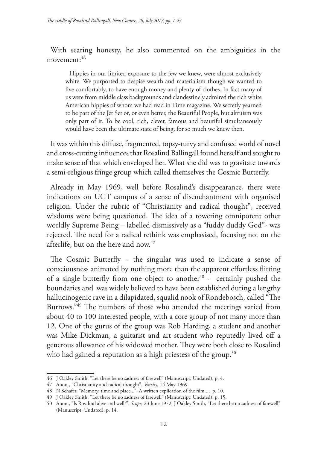With searing honesty, he also commented on the ambiguities in the movement: 46

Hippies in our limited exposure to the few we knew, were almost exclusively white. We purported to despise wealth and materialism though we wanted to live comfortably, to have enough money and plenty of clothes. In fact many of us were from middle class backgrounds and clandestinely admired the rich white American hippies of whom we had read in Time magazine. We secretly yearned to be part of the Jet Set or, or even better, the Beautiful People, but altruism was only part of it. To be cool, rich, clever, famous and beautiful simultaneously would have been the ultimate state of being, for so much we knew then.

It was within this diffuse, fragmented, topsy-turvy and confused world of novel and cross-cutting influences that Rosalind Ballingall found herself and sought to make sense of that which enveloped her. What she did was to gravitate towards a semi-religious fringe group which called themselves the Cosmic Butterfly.

Already in May 1969, well before Rosalind's disappearance, there were indications on UCT campus of a sense of disenchantment with organised religion. Under the rubric of "Christianity and radical thought", received wisdoms were being questioned. The idea of a towering omnipotent other worldly Supreme Being – labelled dismissively as a "fuddy duddy God"- was rejected. The need for a radical rethink was emphasised, focusing not on the afterlife, but on the here and now.<sup>47</sup>

The Cosmic Butterfly – the singular was used to indicate a sense of consciousness animated by nothing more than the apparent effortless flitting of a single butterfly from one object to another<sup>48</sup> - certainly pushed the boundaries and was widely believed to have been established during a lengthy hallucinogenic rave in a dilapidated, squalid nook of Rondebosch, called "The Burrows."49 The numbers of those who attended the meetings varied from about 40 to 100 interested people, with a core group of not many more than 12. One of the gurus of the group was Rob Harding, a student and another was Mike Dickman, a guitarist and art student who reputedly lived off a generous allowance of his widowed mother. They were both close to Rosalind who had gained a reputation as a high priestess of the group.<sup>50</sup>

<sup>46</sup> J Oakley Smith, "Let there be no sadness of farewell" (Manuscript, Undated), p. 4.

<sup>47</sup> Anon., "Christianity and radical thought", *Varsity*, 14 May 1969.

<sup>48</sup> N Schafer, "Memory, time and place...", A written explication of the film..., p. 10.

<sup>49</sup> J Oakley Smith, "Let there be no sadness of farewell" (Manuscript, Undated), p. 15.

<sup>50</sup> Anon., "Is Rosalind alive and well?"; *Scope,* 23 June 1972; J Oakley Smith, "Let there be no sadness of farewell" (Manuscript, Undated), p. 14.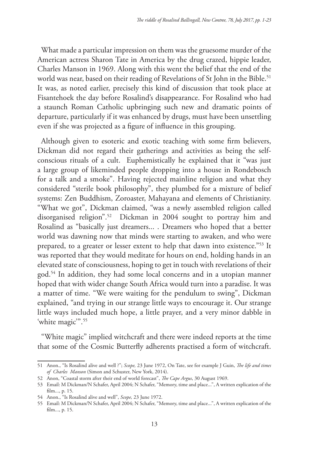What made a particular impression on them was the gruesome murder of the American actress Sharon Tate in America by the drug crazed, hippie leader, Charles Manson in 1969. Along with this went the belief that the end of the world was near, based on their reading of Revelations of St John in the Bible.<sup>51</sup> It was, as noted earlier, precisely this kind of discussion that took place at Fisantehoek the day before Rosalind's disappearance. For Rosalind who had a staunch Roman Catholic upbringing such new and dramatic points of departure, particularly if it was enhanced by drugs, must have been unsettling even if she was projected as a figure of influence in this grouping.

Although given to esoteric and exotic teaching with some firm believers, Dickman did not regard their gatherings and activities as being the selfconscious rituals of a cult. Euphemistically he explained that it "was just a large group of likeminded people dropping into a house in Rondebosch for a talk and a smoke". Having rejected mainline religion and what they considered "sterile book philosophy", they plumbed for a mixture of belief systems: Zen Buddhism, Zoroaster, Mahayana and elements of Christianity. "What we got", Dickman claimed, "was a newly assembled religion called disorganised religion".52 Dickman in 2004 sought to portray him and Rosalind as "basically just dreamers... . Dreamers who hoped that a better world was dawning now that minds were starting to awaken, and who were prepared, to a greater or lesser extent to help that dawn into existence."53 It was reported that they would meditate for hours on end, holding hands in an elevated state of consciousness, hoping to get in touch with revelations of their god.54 In addition, they had some local concerns and in a utopian manner hoped that with wider change South Africa would turn into a paradise. It was a matter of time. "We were waiting for the pendulum to swing", Dickman explained, "and trying in our strange little ways to encourage it. Our strange little ways included much hope, a little prayer, and a very minor dabble in 'white magic'".<sup>55</sup>

"White magic" implied witchcraft and there were indeed reports at the time that some of the Cosmic Butterfly adherents practised a form of witchcraft.

<sup>51</sup> Anon., "Is Rosalind alive and well ?"; *Scope,* 23 June 1972, On Tate, see for example J Guin, *The life and times of Charles Manson* (Simon and Schuster, New York, 2014).

<sup>52</sup> Anon, "Coastal storm after their end of world forecast", *The Cape Argus*, 30 August 1969.

<sup>53</sup> Email: M Dickman/N Schafer, April 2004; N Schafer, "Memory, time and place...", A written explication of the film..., p. 15.

<sup>54</sup> Anon., "Is Rosalind alive and well", *Scope,* 23 June 1972.

<sup>55</sup> Email: M Dickman/N Schafer, April 2004; N Schafer, "Memory, time and place...", A written explication of the film..., p. 15.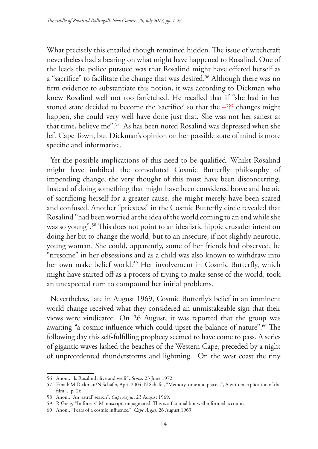What precisely this entailed though remained hidden. The issue of witchcraft nevertheless had a bearing on what might have happened to Rosalind. One of the leads the police pursued was that Rosalind might have offered herself as a "sacrifice" to facilitate the change that was desired.<sup>56</sup> Although there was no firm evidence to substantiate this notion, it was according to Dickman who knew Rosalind well not too farfetched. He recalled that if "she had in her stoned state decided to become the 'sacrifice' so that the  $-\frac{???}{?}$  changes might happen, she could very well have done just that. She was not her sanest at that time, believe me".57 As has been noted Rosalind was depressed when she left Cape Town, but Dickman's opinion on her possible state of mind is more specific and informative.

Yet the possible implications of this need to be qualified. Whilst Rosalind might have imbibed the convoluted Cosmic Butterfly philosophy of impending change, the very thought of this must have been disconcerting. Instead of doing something that might have been considered brave and heroic of sacrificing herself for a greater cause, she might merely have been scared and confused. Another "priestess" in the Cosmic Butterfly circle revealed that Rosalind "had been worried at the idea of the world coming to an end while she was so young".58 This does not point to an idealistic hippie crusader intent on doing her bit to change the world, but to an insecure, if not slightly neurotic, young woman. She could, apparently, some of her friends had observed, be "tiresome" in her obsessions and as a child was also known to withdraw into her own make belief world.<sup>59</sup> Her involvement in Cosmic Butterfly, which might have started off as a process of trying to make sense of the world, took an unexpected turn to compound her initial problems.

Nevertheless, late in August 1969, Cosmic Butterfly's belief in an imminent world change received what they considered an unmistakeable sign that their views were vindicated. On 26 August, it was reported that the group was awaiting "a cosmic influence which could upset the balance of nature".<sup>60</sup> The following day this self-fulfilling prophecy seemed to have come to pass. A series of gigantic waves lashed the beaches of the Western Cape, preceded by a night of unprecedented thunderstorms and lightning. On the west coast the tiny

<sup>56</sup> Anon., "Is Rosalind alive and well?", *Scope,* 23 June 1972.

<sup>57</sup> Email: M Dickman/N Schafer, April 2004; N Schafer, "Memory, time and place...", A written explication of the film..., p. 26.

<sup>58</sup> Anon., "An 'astral' search", *Cape Argus*, 23 August 1969.

<sup>59</sup> R Greig, "In forests" Manuscript, unpaginated. This is a fictional but well informed account.

<sup>60</sup> Anon., "Fears of a cosmic influence.", *Cape Argus*, 26 August 1969.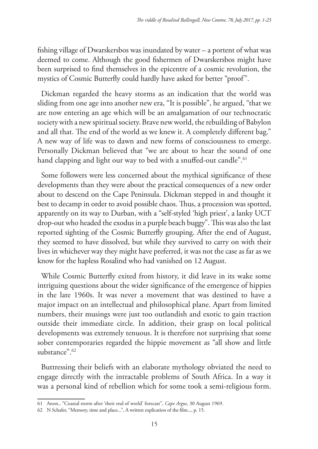fishing village of Dwarskersbos was inundated by water – a portent of what was deemed to come. Although the good fishermen of Dwarskersbos might have been surprised to find themselves in the epicentre of a cosmic revolution, the mystics of Cosmic Butterfly could hardly have asked for better "proof".

Dickman regarded the heavy storms as an indication that the world was sliding from one age into another new era, "It is possible", he argued, "that we are now entering an age which will be an amalgamation of our technocratic society with a new spiritual society. Brave new world, the rebuilding of Babylon and all that. The end of the world as we knew it. A completely different bag." A new way of life was to dawn and new forms of consciousness to emerge. Personally Dickman believed that "we are about to hear the sound of one hand clapping and light our way to bed with a snuffed-out candle".<sup>61</sup>

Some followers were less concerned about the mythical significance of these developments than they were about the practical consequences of a new order about to descend on the Cape Peninsula. Dickman stepped in and thought it best to decamp in order to avoid possible chaos. Thus, a procession was spotted, apparently on its way to Durban, with a "self-styled 'high priest', a lanky UCT drop-out who headed the exodus in a purple beach buggy". This was also the last reported sighting of the Cosmic Butterfly grouping. After the end of August, they seemed to have dissolved, but while they survived to carry on with their lives in whichever way they might have preferred, it was not the case as far as we know for the hapless Rosalind who had vanished on 12 August.

While Cosmic Butterfly exited from history, it did leave in its wake some intriguing questions about the wider significance of the emergence of hippies in the late 1960s. It was never a movement that was destined to have a major impact on an intellectual and philosophical plane. Apart from limited numbers, their musings were just too outlandish and exotic to gain traction outside their immediate circle. In addition, their grasp on local political developments was extremely tenuous. It is therefore not surprising that some sober contemporaries regarded the hippie movement as "all show and little substance".62

Buttressing their beliefs with an elaborate mythology obviated the need to engage directly with the intractable problems of South Africa. In a way it was a personal kind of rebellion which for some took a semi-religious form.

<sup>61</sup> Anon., "Coastal storm after 'their end of world' forecast", *Cape Argus*, 30 August 1969.

<sup>62</sup> N Schafer, "Memory, time and place...", A written explication of the film..., p. 15.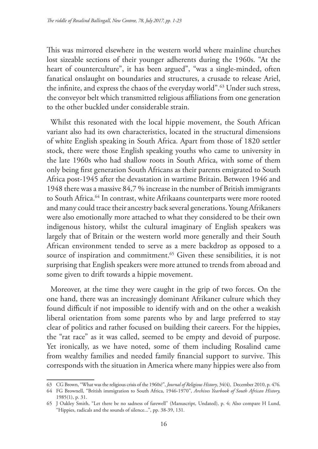This was mirrored elsewhere in the western world where mainline churches lost sizeable sections of their younger adherents during the 1960s. "At the heart of counterculture", it has been argued", "was a single-minded, often fanatical onslaught on boundaries and structures, a crusade to release Ariel, the infinite, and express the chaos of the everyday world".<sup>63</sup> Under such stress, the conveyor belt which transmitted religious affiliations from one generation to the other buckled under considerable strain.

Whilst this resonated with the local hippie movement, the South African variant also had its own characteristics, located in the structural dimensions of white English speaking in South Africa. Apart from those of 1820 settler stock, there were those English speaking youths who came to university in the late 1960s who had shallow roots in South Africa, with some of them only being first generation South Africans as their parents emigrated to South Africa post-1945 after the devastation in wartime Britain. Between 1946 and 1948 there was a massive 84,7 % increase in the number of British immigrants to South Africa.64 In contrast, white Afrikaans counterparts were more rooted and many could trace their ancestry back several generations. Young Afrikaners were also emotionally more attached to what they considered to be their own indigenous history, whilst the cultural imaginary of English speakers was largely that of Britain or the western world more generally and their South African environment tended to serve as a mere backdrop as opposed to a source of inspiration and commitment.<sup>65</sup> Given these sensibilities, it is not surprising that English speakers were more attuned to trends from abroad and some given to drift towards a hippie movement.

Moreover, at the time they were caught in the grip of two forces. On the one hand, there was an increasingly dominant Afrikaner culture which they found difficult if not impossible to identify with and on the other a weakish liberal orientation from some parents who by and large preferred to stay clear of politics and rather focused on building their careers. For the hippies, the "rat race" as it was called, seemed to be empty and devoid of purpose. Yet ironically, as we have noted, some of them including Rosalind came from wealthy families and needed family financial support to survive. This corresponds with the situation in America where many hippies were also from

<sup>63</sup> CG Brown, "What was the religious crisis of the 1960s?", *Journal of Religious History*, 34(4), December 2010, p. 476.

<sup>64</sup> FG Brownell, "British immigration to South Africa, 1946-1970", *Archives Yearbook of South African History,* 1985(1), p. 31.

<sup>65</sup> J Oakley Smith, "Let there be no sadness of farewell" (Manuscript, Undated), p. 4; Also compare H Lund, "Hippies, radicals and the sounds of silence...", pp. 38-39, 131.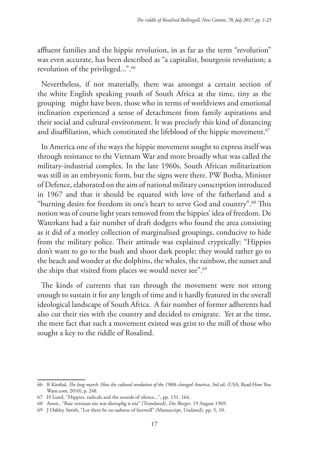affluent families and the hippie revolution, in as far as the term "revolution" was even accurate, has been described as "a capitalist, bourgeois revolution; a revolution of the privileged...".<sup>66</sup>

Nevertheless, if not materially, there was amongst a certain section of the white English speaking youth of South Africa at the time, tiny as the grouping might have been, those who in terms of worldviews and emotional inclination experienced a sense of detachment from family aspirations and their social and cultural environment. It was precisely this kind of distancing and disaffiliation, which constituted the lifeblood of the hippie movement.<sup>67</sup>

In America one of the ways the hippie movement sought to express itself was through resistance to the Vietnam War and more broadly what was called the military-industrial complex. In the late 1960s, South African militarization was still in an embryonic form, but the signs were there. PW Botha, Minister of Defence, elaborated on the aim of national military conscription introduced in 1967 and that it should be equated with love of the fatherland and a "burning desire for freedom in one's heart to serve God and country".68 This notion was of course light years removed from the hippies' idea of freedom. De Waterkant had a fair number of draft dodgers who found the area consisting as it did of a motley collection of marginalised groupings, conducive to hide from the military police. Their attitude was explained cryptically: "Hippies don't want to go to the bush and shoot dark people; they would rather go to the beach and wonder at the dolphins, the whales, the rainbow, the sunset and the ships that visited from places we would never see".<sup>69</sup>

The kinds of currents that ran through the movement were not strong enough to sustain it for any length of time and it hardly featured in the overall ideological landscape of South Africa. A fair number of former adherents had also cut their ties with the country and decided to emigrate. Yet at the time, the mere fact that such a movement existed was grist to the mill of those who sought a key to the riddle of Rosalind.

<sup>66</sup> R Kimbal, *The long march: How the cultural revolution of the 1960s changed America*, 3rd ed. (USA, Read-How You Want.com, 2010), p. 248.

<sup>67</sup> H Lund, "Hippies, radicals and the sounds of silence...", pp. 131, 164.

<sup>68</sup> Anon., "Baie verstaan nie wat diensplig is nie" (Translated), *Die Burger*, 19 August 1969.

<sup>69</sup> J Oakley Smith, "Let there be no sadness of farewell" (Manuscript, Undated), pp. 5, 10.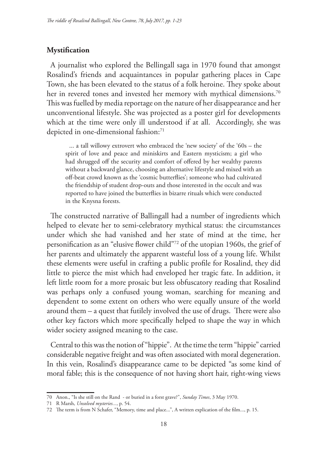### **Mystification**

A journalist who explored the Bellingall saga in 1970 found that amongst Rosalind's friends and acquaintances in popular gathering places in Cape Town, she has been elevated to the status of a folk heroine. They spoke about her in revered tones and invested her memory with mythical dimensions.<sup>70</sup> This was fuelled by media reportage on the nature of her disappearance and her unconventional lifestyle. She was projected as a poster girl for developments which at the time were only ill understood if at all. Accordingly, she was depicted in one-dimensional fashion:71

... a tall willowy extrovert who embraced the 'new society' of the '60s – the spirit of love and peace and miniskirts and Eastern mysticism; a girl who had shrugged off the security and comfort of offered by her wealthy parents without a backward glance, choosing an alternative lifestyle and mixed with an off-beat crowd known as the 'cosmic butterflies'; someone who had cultivated the friendship of student drop-outs and those interested in the occult and was reported to have joined the butterflies in bizarre rituals which were conducted in the Knysna forests.

The constructed narrative of Ballingall had a number of ingredients which helped to elevate her to semi-celebratory mythical status: the circumstances under which she had vanished and her state of mind at the time, her personification as an "elusive flower child"72 of the utopian 1960s, the grief of her parents and ultimately the apparent wasteful loss of a young life. Whilst these elements were useful in crafting a public profile for Rosalind, they did little to pierce the mist which had enveloped her tragic fate. In addition, it left little room for a more prosaic but less obfuscatory reading that Rosalind was perhaps only a confused young woman, searching for meaning and dependent to some extent on others who were equally unsure of the world around them – a quest that futilely involved the use of drugs. There were also other key factors which more specifically helped to shape the way in which wider society assigned meaning to the case.

Central to this was the notion of "hippie". At the time the term "hippie" carried considerable negative freight and was often associated with moral degeneration. In this vein, Rosalind's disappearance came to be depicted "as some kind of moral fable; this is the consequence of not having short hair, right-wing views

<sup>70</sup> Anon., "Is she still on the Rand - or buried in a forst grave?", *Sunday Times*, 3 May 1970.

<sup>71</sup> R Marsh, *Unsolved mysteries...*, p. 54.

<sup>72</sup> The term is from N Schafer, "Memory, time and place...", A written explication of the film..., p. 15.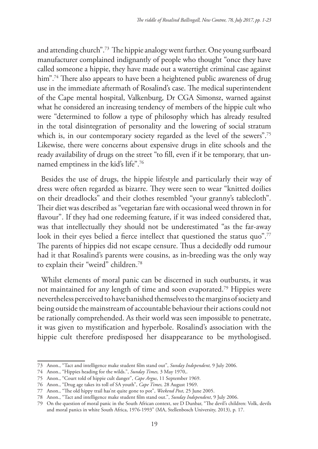and attending church".73 The hippie analogy went further. One young surfboard manufacturer complained indignantly of people who thought "once they have called someone a hippie, they have made out a watertight criminal case against him".<sup>74</sup> There also appears to have been a heightened public awareness of drug use in the immediate aftermath of Rosalind's case. The medical superintendent of the Cape mental hospital, Valkenburg, Dr CGA Simonsz, warned against what he considered an increasing tendency of members of the hippie cult who were "determined to follow a type of philosophy which has already resulted in the total disintegration of personality and the lowering of social stratum which is, in our contemporary society regarded as the level of the sewers".<sup>75</sup> Likewise, there were concerns about expensive drugs in elite schools and the ready availability of drugs on the street "to fill, even if it be temporary, that unnamed emptiness in the kid's life".76

Besides the use of drugs, the hippie lifestyle and particularly their way of dress were often regarded as bizarre. They were seen to wear "knitted doilies on their dreadlocks" and their clothes resembled "your granny's tablecloth". Their diet was described as "vegetarian fare with occasional weed thrown in for flavour". If they had one redeeming feature, if it was indeed considered that, was that intellectually they should not be underestimated "as the far-away look in their eyes belied a fierce intellect that questioned the status quo".<sup>77</sup> The parents of hippies did not escape censure. Thus a decidedly odd rumour had it that Rosalind's parents were cousins, as in-breeding was the only way to explain their "weird" children.78

Whilst elements of moral panic can be discerned in such outbursts, it was not maintained for any length of time and soon evaporated.79 Hippies were nevertheless perceived to have banished themselves to the margins of society and being outside the mainstream of accountable behaviour their actions could not be rationally comprehended. As their world was seen impossible to penetrate, it was given to mystification and hyperbole. Rosalind's association with the hippie cult therefore predisposed her disappearance to be mythologised.

<sup>73</sup> Anon., "Tact and intelligence make student film stand out", *Sunday Independent,* 9 July 2006.

<sup>74</sup> Anon., "Hippies heading for the wilds.", *Sunday Times,* 3 May 1970,.

<sup>75</sup> Anon., "Court told of hippie cult danger", *Cape Argus*, 11 September 1969.

<sup>76</sup> Anon., "Drug age takes its toll of SA youth", *Cape Times,* 28 August 1969.

<sup>77</sup> Anon., "The old hippy trail has'nt quite gone to pot", *Weekend Post*, 25 June 2005.

<sup>78</sup> Anon., "Tact and intelligence make student film stand out.", *Sunday Independent*, 9 July 2006.

<sup>79</sup> On the question of moral panic in the South African context, see D Dunbar, "The devil's children: Volk, devils and moral panics in white South Africa, 1976-1993" (MA, Stellenbosch University, 2013), p. 17.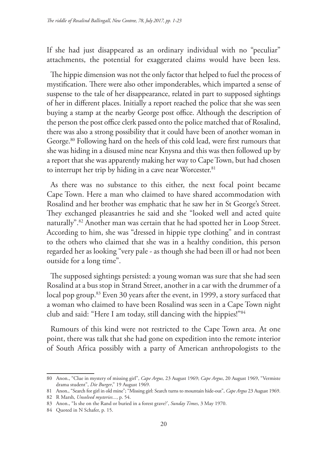If she had just disappeared as an ordinary individual with no "peculiar" attachments, the potential for exaggerated claims would have been less.

The hippie dimension was not the only factor that helped to fuel the process of mystification. There were also other imponderables, which imparted a sense of suspense to the tale of her disappearance, related in part to supposed sightings of her in different places. Initially a report reached the police that she was seen buying a stamp at the nearby George post office. Although the description of the person the post office clerk passed onto the police matched that of Rosalind, there was also a strong possibility that it could have been of another woman in George.<sup>80</sup> Following hard on the heels of this cold lead, were first rumours that she was hiding in a disused mine near Knysna and this was then followed up by a report that she was apparently making her way to Cape Town, but had chosen to interrupt her trip by hiding in a cave near Worcester.<sup>81</sup>

As there was no substance to this either, the next focal point became Cape Town. Here a man who claimed to have shared accommodation with Rosalind and her brother was emphatic that he saw her in St George's Street. They exchanged pleasantries he said and she "looked well and acted quite naturally".82 Another man was certain that he had spotted her in Loop Street. According to him, she was "dressed in hippie type clothing" and in contrast to the others who claimed that she was in a healthy condition, this person regarded her as looking "very pale - as though she had been ill or had not been outside for a long time".

The supposed sightings persisted: a young woman was sure that she had seen Rosalind at a bus stop in Strand Street, another in a car with the drummer of a local pop group.<sup>83</sup> Even 30 years after the event, in 1999, a story surfaced that a woman who claimed to have been Rosalind was seen in a Cape Town night club and said: "Here I am today, still dancing with the hippies!"84

Rumours of this kind were not restricted to the Cape Town area. At one point, there was talk that she had gone on expedition into the remote interior of South Africa possibly with a party of American anthropologists to the

<sup>80</sup> Anon., "Clue in mystery of missing girl", *Cape Argus,* 23 August 1969; *Cape Argus*, 20 August 1969, "Vermiste drama student", *Die Burger*," 19 August 1969.

<sup>81</sup> Anon., "Search for girl in old mine"; "Missing girl: Search turns to mountain hide-out", *Cape Argus* 23 August 1969.

<sup>82</sup> R Marsh, *Unsolved mysteries...*, p. 54.

<sup>83</sup> Anon., "Is she on the Rand or buried in a forest grave?', *Sunday Times*, 3 May 1970.

<sup>84</sup> Quoted in N Schafer, p. 15.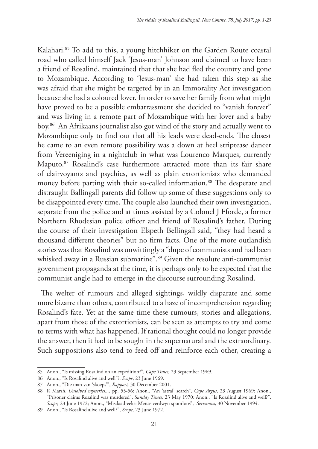Kalahari.<sup>85</sup> To add to this, a young hitchhiker on the Garden Route coastal road who called himself Jack 'Jesus-man' Johnson and claimed to have been a friend of Rosalind, maintained that that she had fled the country and gone to Mozambique. According to 'Jesus-man' she had taken this step as she was afraid that she might be targeted by in an Immorality Act investigation because she had a coloured lover. In order to save her family from what might have proved to be a possible embarrassment she decided to "vanish forever" and was living in a remote part of Mozambique with her lover and a baby boy.86 An Afrikaans journalist also got wind of the story and actually went to Mozambique only to find out that all his leads were dead-ends. The closest he came to an even remote possibility was a down at heel striptease dancer from Vereeniging in a nightclub in what was Lourenco Marques, currently Maputo.87 Rosalind's case furthermore attracted more than its fair share of clairvoyants and psychics, as well as plain extortionists who demanded money before parting with their so-called information.<sup>88</sup> The desperate and distraught Ballingall parents did follow up some of these suggestions only to be disappointed every time. The couple also launched their own investigation, separate from the police and at times assisted by a Colonel J Fforde, a former Northern Rhodesian police officer and friend of Rosalind's father. During the course of their investigation Elspeth Bellingall said, "they had heard a thousand different theories" but no firm facts. One of the more outlandish stories was that Rosalind was unwittingly a "dupe of communists and had been whisked away in a Russian submarine".<sup>89</sup> Given the resolute anti-communist government propaganda at the time, it is perhaps only to be expected that the communist angle had to emerge in the discourse surrounding Rosalind.

The welter of rumours and alleged sightings, wildly disparate and some more bizarre than others, contributed to a haze of incomprehension regarding Rosalind's fate. Yet at the same time these rumours, stories and allegations, apart from those of the extortionists, can be seen as attempts to try and come to terms with what has happened. If rational thought could no longer provide the answer, then it had to be sought in the supernatural and the extraordinary. Such suppositions also tend to feed off and reinforce each other, creating a

<sup>85</sup> Anon., "Is missing Rosalind on an expedition?", *Cape Times,* 23 September 1969.

<sup>86</sup> Anon., "Is Rosalind alive and well"?, *Scope*, 23 June 1969.

<sup>87</sup> Anon., "Die man van 'skoeps'", *Rapport,* 30 December 2001.

<sup>88</sup> R Marsh, *Unsolved mysteries...*, pp. 55-56; Anon., "An 'astral' search", *Cape Argus*, 23 August 1969; Anon., "Prisoner claims Rosalind was murdered", *Sunday Times*, 23 May 1970; Anon., "Is Rosalind alive and well?", *Scope,* 23 June 1972; Anon., "Misdaadreeks: Mense verdwyn spoorloos", *Servamus,* 30 November 1994.

<sup>89</sup> Anon., "Is Rosalind alive and well?", *Scope,* 23 June 1972.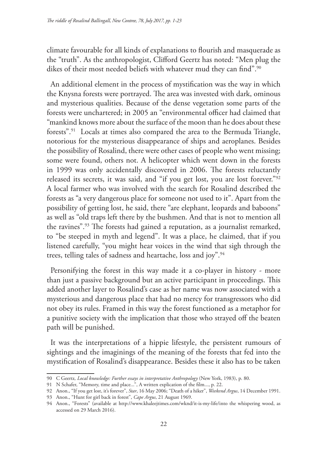climate favourable for all kinds of explanations to flourish and masquerade as the "truth". As the anthropologist, Clifford Geertz has noted: "Men plug the dikes of their most needed beliefs with whatever mud they can find".<sup>90</sup>

An additional element in the process of mystification was the way in which the Knysna forests were portrayed. The area was invested with dark, ominous and mysterious qualities. Because of the dense vegetation some parts of the forests were unchartered; in 2005 an "environmental officer had claimed that "mankind knows more about the surface of the moon than he does about these forests".91 Locals at times also compared the area to the Bermuda Triangle, notorious for the mysterious disappearance of ships and aeroplanes. Besides the possibility of Rosalind, there were other cases of people who went missing; some were found, others not. A helicopter which went down in the forests in 1999 was only accidentally discovered in 2006. The forests reluctantly released its secrets, it was said, and "if you get lost, you are lost forever."92 A local farmer who was involved with the search for Rosalind described the forests as "a very dangerous place for someone not used to it". Apart from the possibility of getting lost, he said, there "are elephant, leopards and baboons" as well as "old traps left there by the bushmen. And that is not to mention all the ravines".93 The forests had gained a reputation, as a journalist remarked, to "be steeped in myth and legend". It was a place, he claimed, that if you listened carefully, "you might hear voices in the wind that sigh through the trees, telling tales of sadness and heartache, loss and joy".<sup>94</sup>

Personifying the forest in this way made it a co-player in history - more than just a passive background but an active participant in proceedings. This added another layer to Rosalind's case as her name was now associated with a mysterious and dangerous place that had no mercy for transgressors who did not obey its rules. Framed in this way the forest functioned as a metaphor for a punitive society with the implication that those who strayed off the beaten path will be punished.

It was the interpretations of a hippie lifestyle, the persistent rumours of sightings and the imaginings of the meaning of the forests that fed into the mystification of Rosalind's disappearance. Besides these it also has to be taken

<sup>90</sup> C Geertz*, Local knowledge: Further essays in interpretative Anthropology* (New York, 1983), p. 80.

<sup>91</sup> N Schafer, "Memory, time and place...", A written explication of the film..., p. 22.

<sup>92</sup> Anon., "If you get lost, it's forever", *Star*, 16 May 2006; "Death of a hiker", *Weekend Argus*, 14 December 1991.

<sup>93</sup> Anon., "Hunt for girl back in forest", *Cape Argus*, 21 August 1969.

<sup>94</sup> Anon., "Forests" (available at http://www.khaleejtimes.com/wknd/it-is-my-life/into the whispering wood, as accessed on 29 March 2016).